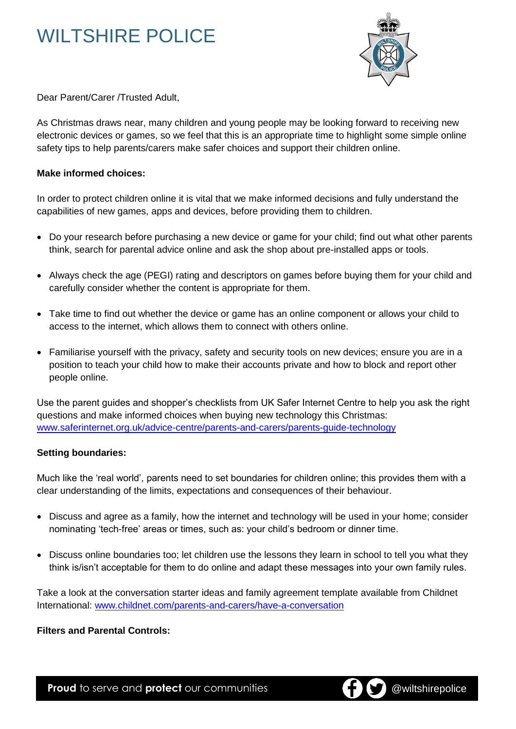## WILTSHIRE POLICE



Dear Parent/Carer /Trusted Adult,

As Christmas draws near, many children and young people may be looking forward to receiving new electronic devices or games, so we feel that this is an appropriate time to highlight some simple online safety tips to help parents/carers make safer choices and support their children online.

#### **Make informed choices:**

In order to protect children online it is vital that we make informed decisions and fully understand the capabilities of new games, apps and devices, before providing them to children.

- Do your research before purchasing a new device or game for your child; find out what other parents think, search for parental advice online and ask the shop about pre-installed apps or tools.
- Always check the age (PEGI) rating and descriptors on games before buying them for your child and carefully consider whether the content is appropriate for them.
- Take time to find out whether the device or game has an online component or allows your child to access to the internet, which allows them to connect with others online.
- Familiarise yourself with the privacy, safety and security tools on new devices; ensure you are in a position to teach your child how to make their accounts private and how to block and report other people online.

Use the parent guides and shopper's checklists from UK Safer Internet Centre to help you ask the right questions and make informed choices when buying new technology this Christmas: [www.saferinternet.org.uk/advice-centre/parents-and-carers/parents-guide-technology](http://www.saferinternet.org.uk/advice-centre/parents-and-carers/parents-guide-technology)

### **Setting boundaries:**

Much like the 'real world', parents need to set boundaries for children online; this provides them with a clear understanding of the limits, expectations and consequences of their behaviour.

- Discuss and agree as a family, how the internet and technology will be used in your home; consider nominating 'tech-free' areas or times, such as: your child's bedroom or dinner time.
- Discuss online boundaries too; let children use the lessons they learn in school to tell you what they think is/isn't acceptable for them to do online and adapt these messages into your own family rules.

Take a look at the conversation starter ideas and family agreement template available from Childnet International: [www.childnet.com/parents-and-carers/have-a-conversation](http://www.childnet.com/parents-and-carers/have-a-conversation)

### **Filters and Parental Controls:**

**Proud** to serve and **protect** our communities **CO CO** @wiltshirepolice